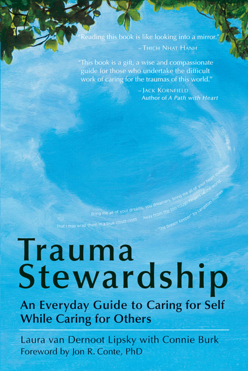eading this book is like looking into a mirror." - THICH NHAT HANH

"This book is a gift, a wise and compassionate guide for those who undertake the difficult work of caring for the traumas of this world."

> $-$ **JACK KORNEIELD** Author of A Path with Heart

That I may wrap them in a blue cloud-cloth

# Trauma Stewardship

Bring me all of your dreams, you dream

An Everyday Guide to Caring for Self **While Caring for Others** 

Laura van Dernoot Lipsky with Connie Burk Foreword by Jon R. Conte, PhD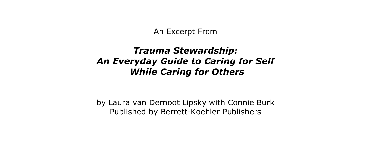An Excerpt From

## *Trauma Stewardship: An Everyday Guide to Caring for Self While Caring for Others*

by Laura van Dernoot Lipsky with Connie Burk Published by Berrett-Koehler Publishers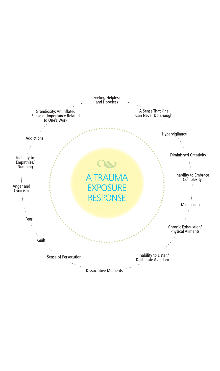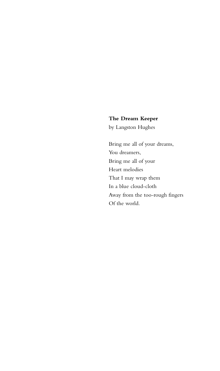## **The Dream Keeper**

by Langston Hughes

Bring me all of your dreams, You dreamers, Bring me all of your Heart melodies That I may wrap them In a blue cloud-cloth Away from the too-rough fingers Of the world.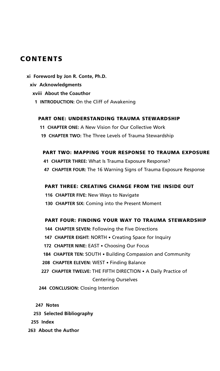## <span id="page-4-0"></span>**CONTENTS**

**[xi Foreword by Jon R. Conte, Ph.D.](#page-5-0) xiv Acknowledgments xviii About the Coauthor 1 INTRODUCTION:** [On the Cliff of Awakening](#page-8-0)

#### **[PART ONE: UNDERSTANDING TRAUMA STEWARDSHIP](#page-16-0)**

- **11 CHAPTER ONE:** [A New Vision for Our Collective Work](#page-17-0)
- **19 CHAPTER TWO:** The Three Levels of Trauma Stewardship

**PART TWO: MAPPING YOUR RESPONSE TO TRAUMA EXPOSURE**

- **41 CHAPTER THREE:** What Is Trauma Exposure Response?
- **47 CHAPTER FOUR:** The 16 Warning Signs of Trauma Exposure Response

**PART THREE: CREATING CHANGE FROM THE INSIDE OUT**

- **116 CHAPTER FIVE:** New Ways to Navigate
- **130 CHAPTER SIX:** Coming into the Present Moment

#### **PART FOUR: FINDING YOUR WAY TO TRAUMA STEWARDSHIP**

**144 CHAPTER SEVEN:** Following the Five Directions **147 CHAPTER EIGHT:** NORTH • Creating Space for Inquiry **172 CHAPTER NINE:** EAST • Choosing Our Focus **184 CHAPTER TEN:** SOUTH • Building Compassion and Community **208 CHAPTER ELEVEN:** WEST • Finding Balance **227 CHAPTER TWELVE:** THE FIFTH DIRECTION • A Daily Practice of Centering Ourselves **244 CONCLUSION:** Closing Intention

**247 Notes 253 Selected Bibliography 255 Index 263 About the Author**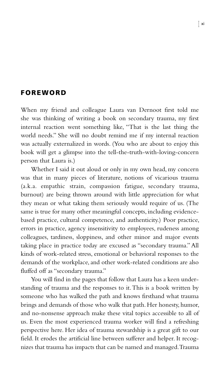## <span id="page-5-0"></span>**[FOREWORD](#page-4-0)**

When my friend and colleague Laura van Dernoot first told me she was thinking of writing a book on secondary trauma, my first internal reaction went something like, "That is the last thing the world needs." She will no doubt remind me if my internal reaction was actually externalized in words. (You who are about to enjoy this book will get a glimpse into the tell-the-truth-with-loving-concern person that Laura is.)

Whether I said it out aloud or only in my own head, my concern was that in many pieces of literature, notions of vicarious trauma (a.k.a. empathic strain, compassion fatigue, secondary trauma, burnout) are being thrown around with little appreciation for what they mean or what taking them seriously would require of us. (The same is true for many other meaningful concepts, including evidencebased practice, cultural competence, and authenticity.) Poor practice, errors in practice, agency insensitivity to employees, rudeness among colleagues, tardiness, sloppiness, and other minor and major events taking place in practice today are excused as "secondary trauma." All kinds of work-related stress, emotional or behavioral responses to the demands of the workplace, and other work-related conditions are also fluffed off as "secondary trauma."

You will find in the pages that follow that Laura has a keen understanding of trauma and the responses to it.This is a book written by someone who has walked the path and knows firsthand what trauma brings and demands of those who walk that path. Her honesty, humor, and no-nonsense approach make these vital topics accessible to all of us. Even the most experienced trauma worker will find a refreshing perspective here. Her idea of trauma stewardship is a great gift to our field. It erodes the artificial line between sufferer and helper. It recognizes that trauma has impacts that can be named and managed.Trauma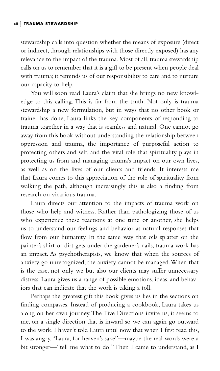stewardship calls into question whether the means of exposure (direct or indirect, through relationships with those directly exposed) has any relevance to the impact of the trauma. Most of all, trauma stewardship calls on us to remember that it is a gift to be present when people deal with trauma; it reminds us of our responsibility to care and to nurture our capacity to help.

You will soon read Laura's claim that she brings no new knowledge to this calling. This is far from the truth. Not only is trauma stewardship a new formulation, but in ways that no other book or trainer has done, Laura links the key components of responding to trauma together in a way that is seamless and natural. One cannot go away from this book without understanding the relationship between oppression and trauma, the importance of purposeful action to protecting others and self, and the vital role that spirituality plays in protecting us from and managing trauma's impact on our own lives, as well as on the lives of our clients and friends. It interests me that Laura comes to this appreciation of the role of spirituality from walking the path, although increasingly this is also a finding from research on vicarious trauma.

Laura directs our attention to the impacts of trauma work on those who help and witness. Rather than pathologizing those of us who experience these reactions at one time or another, she helps us to understand our feelings and behavior as natural responses that flow from our humanity. In the same way that oils splatter on the painter's shirt or dirt gets under the gardener's nails, trauma work has an impact. As psychotherapists, we know that when the sources of anxiety go unrecognized, the anxiety cannot be managed.When that is the case, not only we but also our clients may suffer unnecessary distress. Laura gives us a range of possible emotions, ideas, and behaviors that can indicate that the work is taking a toll.

Perhaps the greatest gift this book gives us lies in the sections on finding compasses. Instead of producing a cookbook, Laura takes us along on her own journey.The Five Directions invite us, it seems to me, on a single direction that is inward so we can again go outward to the work. I haven't told Laura until now that when I first read this, I was angry."Laura, for heaven's sake"—maybe the real words were a bit stronger—"tell me what to do!"Then I came to understand, as I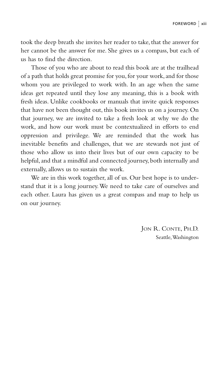took the deep breath she invites her reader to take, that the answer for her cannot be the answer for me. She gives us a compass, but each of us has to find the direction.

Those of you who are about to read this book are at the trailhead of a path that holds great promise for you, for your work, and for those whom you are privileged to work with. In an age when the same ideas get repeated until they lose any meaning, this is a book with fresh ideas. Unlike cookbooks or manuals that invite quick responses that have not been thought out, this book invites us on a journey. On that journey, we are invited to take a fresh look at why we do the work, and how our work must be contextualized in efforts to end oppression and privilege. We are reminded that the work has inevitable benefits and challenges, that we are stewards not just of those who allow us into their lives but of our own capacity to be helpful, and that a mindful and connected journey, both internally and externally, allows us to sustain the work.

We are in this work together, all of us. Our best hope is to understand that it is a long journey.We need to take care of ourselves and each other. Laura has given us a great compass and map to help us on our journey.

> JON R. CONTE, PH.D. Seattle,Washington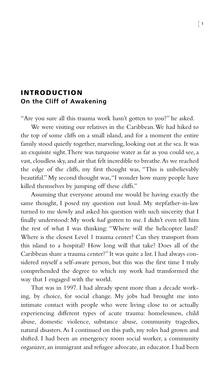## <span id="page-8-0"></span>**INTRODUCTION [On the Cliff of Awakening](#page-4-0)**

"Are you sure all this trauma work hasn't gotten to you?" he asked.

We were visiting our relatives in the Caribbean.We had hiked to the top of some cliffs on a small island, and for a moment the entire family stood quietly together, marveling, looking out at the sea. It was an exquisite sight.There was turquoise water as far as you could see, a vast, cloudless sky, and air that felt incredible to breathe.As we reached the edge of the cliffs, my first thought was, "This is unbelievably beautiful." My second thought was,"I wonder how many people have killed themselves by jumping off these cliffs."

Assuming that everyone around me would be having exactly the same thought, I posed my question out loud. My stepfather-in-law turned to me slowly and asked his question with such sincerity that I finally understood: My work *had* gotten to me. I didn't even tell him the rest of what I was thinking: "Where will the helicopter land? Where is the closest Level 1 trauma center? Can they transport from this island to a hospital? How long will that take? Does all of the Caribbean share a trauma center?" It was quite a list. I had always considered myself a self-aware person, but this was the first time I truly comprehended the degree to which my work had transformed the way that I engaged with the world.

That was in 1997. I had already spent more than a decade working, by choice, for social change. My jobs had brought me into intimate contact with people who were living close to or actually experiencing different types of acute trauma: homelessness, child abuse, domestic violence, substance abuse, community tragedies, natural disasters.As I continued on this path, my roles had grown and shifted. I had been an emergency room social worker, a community organizer, an immigrant and refugee advocate, an educator. I had been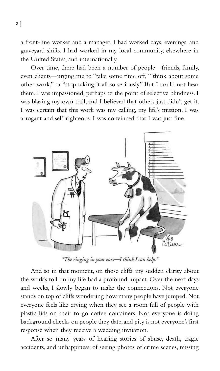a front-line worker and a manager. I had worked days, evenings, and graveyard shifts. I had worked in my local community, elsewhere in the United States, and internationally.

Over time, there had been a number of people—friends, family, even clients—urging me to "take some time off,""think about some other work," or "stop taking it all so seriously." But I could not hear them. I was impassioned, perhaps to the point of selective blindness. I was blazing my own trail, and I believed that others just didn't get it. I was certain that this work was my calling, my life's mission. I was arrogant and self-righteous. I was convinced that I was just fine.



"The ringing in your ears-I think I can help."

And so in that moment, on those cliffs, my sudden clarity about the work's toll on my life had a profound impact. Over the next days and weeks, I slowly began to make the connections. Not everyone stands on top of cliffs wondering how many people have jumped. Not everyone feels like crying when they see a room full of people with plastic lids on their to-go coffee containers. Not everyone is doing background checks on people they date,and pity is not everyone's first response when they receive a wedding invitation.

After so many years of hearing stories of abuse, death, tragic accidents, and unhappiness; of seeing photos of crime scenes, missing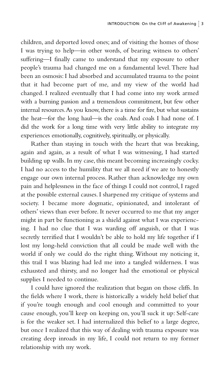children, and deported loved ones; and of visiting the homes of those I was trying to help—in other words, of bearing witness to others' suffering—I finally came to understand that my exposure to other people's trauma had changed me on a fundamental level. There had been an osmosis: I had absorbed and accumulated trauma to the point that it had become part of me, and my view of the world had changed. I realized eventually that I had come into my work armed with a burning passion and a tremendous commitment, but few other internal resources.As you know, there is a time for fire, but what sustains the heat—for the long haul—is the coals. And coals I had none of. I did the work for a long time with very little ability to integrate my experiences emotionally, cognitively, spiritually, or physically.

Rather than staying in touch with the heart that was breaking, again and again, as a result of what I was witnessing, I had started building up walls. In my case, this meant becoming increasingly cocky. I had no access to the humility that we all need if we are to honestly engage our own internal process. Rather than acknowledge my own pain and helplessness in the face of things I could not control, I raged at the possible external causes. I sharpened my critique of systems and society. I became more dogmatic, opinionated, and intolerant of others' views than ever before. It never occurred to me that my anger might in part be functioning as a shield against what I was experiencing. I had no clue that I was warding off anguish, or that I was secretly terrified that I wouldn't be able to hold my life together if I lost my long-held conviction that all could be made well with the world if only we could do the right thing. Without my noticing it, this trail I was blazing had led me into a tangled wilderness. I was exhausted and thirsty, and no longer had the emotional or physical supplies I needed to continue.

I could have ignored the realization that began on those cliffs. In the fields where I work, there is historically a widely held belief that if you're tough enough and cool enough and committed to your cause enough, you'll keep on keeping on, you'll suck it up: Self-care is for the weaker set. I had internalized this belief to a large degree, but once I realized that this way of dealing with trauma exposure was creating deep inroads in my life, I could not return to my former relationship with my work.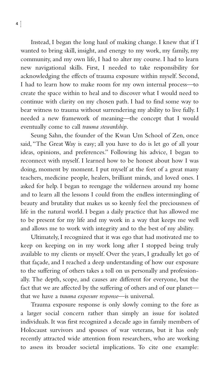Instead, I began the long haul of making change. I knew that if I wanted to bring skill, insight, and energy to my work, my family, my community, and my own life, I had to alter my course. I had to learn new navigational skills. First, I needed to take responsibility for acknowledging the effects of trauma exposure within myself. Second, I had to learn how to make room for my own internal process—to create the space within to heal and to discover what I would need to continue with clarity on my chosen path. I had to find some way to bear witness to trauma without surrendering my ability to live fully. I needed a new framework of meaning—the concept that I would eventually come to call *trauma stewardship*.

Seung Sahn, the founder of the Kwan Um School of Zen, once said, "The Great Way is easy; all you have to do is let go of all your ideas, opinions, and preferences." Following his advice, I began to reconnect with myself. I learned how to be honest about how I was doing, moment by moment. I put myself at the feet of a great many teachers, medicine people, healers, brilliant minds, and loved ones. I asked for help. I began to reengage the wilderness around my home and to learn all the lessons I could from the endless intermingling of beauty and brutality that makes us so keenly feel the preciousness of life in the natural world. I began a daily practice that has allowed me to be present for my life and my work in a way that keeps me well and allows me to work with integrity and to the best of my ability.

Ultimately, I recognized that it was ego that had motivated me to keep on keeping on in my work long after I stopped being truly available to my clients or myself. Over the years, I gradually let go of that façade, and I reached a deep understanding of how our exposure to the suffering of others takes a toll on us personally and professionally. The depth, scope, and causes are different for everyone, but the fact that we are affected by the suffering of others and of our planet that we have a *trauma exposure response*—is universal.

Trauma exposure response is only slowly coming to the fore as a larger social concern rather than simply an issue for isolated individuals. It was first recognized a decade ago in family members of Holocaust survivors and spouses of war veterans, but it has only recently attracted wide attention from researchers, who are working to assess its broader societal implications. To cite one example: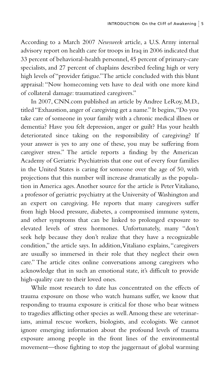According to a March 2007 *Newsweek* article, a U.S. Army internal advisory report on health care for troops in Iraq in 2006 indicated that 33 percent of behavioral-health personnel, 45 percent of primary-care specialists, and 27 percent of chaplains described feeling high or very high levels of "provider fatigue."The article concluded with this blunt appraisal: "Now homecoming vets have to deal with one more kind of collateral damage: traumatized caregivers."

In 2007, CNN.com published an article by Andree LeRoy, M.D., titled "Exhaustion, anger of caregiving get a name." It begins,"Do you take care of someone in your family with a chronic medical illness or dementia? Have you felt depression, anger or guilt? Has your health deteriorated since taking on the responsibility of caregiving? If your answer is yes to any one of these, you may be suffering from caregiver stress." The article reports a finding by the American Academy of Geriatric Psychiatrists that one out of every four families in the United States is caring for someone over the age of 50, with projections that this number will increase dramatically as the population in America ages. Another source for the article is Peter Vitaliano, a professor of geriatric psychiatry at the University of Washington and an expert on caregiving. He reports that many caregivers suffer from high blood pressure, diabetes, a compromised immune system, and other symptoms that can be linked to prolonged exposure to elevated levels of stress hormones. Unfortunately, many "don't seek help because they don't realize that they have a recognizable condition," the article says. In addition,Vitaliano explains,"caregivers are usually so immersed in their role that they neglect their own care." The article cites online conversations among caregivers who acknowledge that in such an emotional state, it's difficult to provide high-quality care to their loved ones.

While most research to date has concentrated on the effects of trauma exposure on those who watch humans suffer, we know that responding to trauma exposure is critical for those who bear witness to tragedies afflicting other species as well.Among these are veterinarians, animal rescue workers, biologists, and ecologists. We cannot ignore emerging information about the profound levels of trauma exposure among people in the front lines of the environmental movement—those fighting to stop the juggernaut of global warming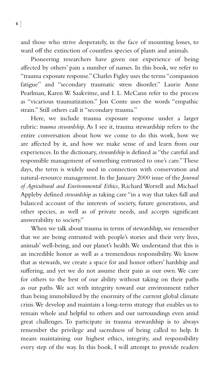and those who strive desperately, in the face of mounting losses, to ward off the extinction of countless species of plants and animals.

Pioneering researchers have given our experience of being affected by others' pain a number of names. In this book, we refer to "trauma exposure response."Charles Figley uses the terms"compassion fatigue" and "secondary traumatic stress disorder." Laurie Anne Pearlman, Karen W. Saakvitne, and I. L. McCann refer to the process as "vicarious traumatization." Jon Conte uses the words "empathic strain." Still others call it "secondary trauma."

Here, we include trauma exposure response under a larger rubric: *trauma stewardship*. As I see it, trauma stewardship refers to the entire conversation about how we come to do this work, how we are affected by it, and how we make sense of and learn from our experiences. In the dictionary, *stewardship* is defined as "the careful and responsible management of something entrusted to one's care."These days, the term is widely used in connection with conservation and natural-resource management. In the January 2000 issue of the *Journal of Agricultural and Environmental Ethics*, Richard Worrell and Michael Appleby defined *stewardship* as taking care "in a way that takes full and balanced account of the interests of society, future generations, and other species, as well as of private needs, and accepts significant answerability to society."

When we talk about trauma in terms of stewardship, we remember that we are being entrusted with people's stories and their very lives, animals' well-being, and our planet's health.We understand that this is an incredible honor as well as a tremendous responsibility.We know that as stewards, we create a space for and honor others' hardship and suffering, and yet we do not assume their pain as our own.We care for others to the best of our ability without taking on their paths as our paths. We act with integrity toward our environment rather than being immobilized by the enormity of the current global climate crisis.We develop and maintain a long-term strategy that enables us to remain whole and helpful to others and our surroundings even amid great challenges. To participate in trauma stewardship is to always remember the privilege and sacredness of being called to help. It means maintaining our highest ethics, integrity, and responsibility every step of the way. In this book, I will attempt to provide readers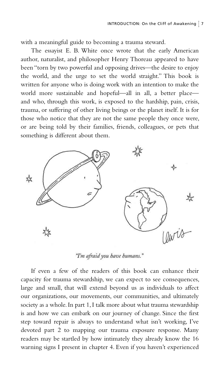with a meaningful guide to becoming a trauma steward.

The essayist E. B. White once wrote that the early American author, naturalist, and philosopher Henry Thoreau appeared to have been "torn by two powerful and opposing drives—the desire to enjoy the world, and the urge to set the world straight." This book is written for anyone who is doing work with an intention to make the world more sustainable and hopeful—all in all, a better place and who, through this work, is exposed to the hardship, pain, crisis, trauma, or suffering of other living beings or the planet itself. It is for those who notice that they are not the same people they once were, or are being told by their families, friends, colleagues, or pets that something is different about them.



"I'm afraid you have humans."

If even a few of the readers of this book can enhance their capacity for trauma stewardship, we can expect to see consequences, large and small, that will extend beyond us as individuals to affect our organizations, our movements, our communities, and ultimately society as a whole. In part 1, I talk more about what trauma stewardship is and how we can embark on our journey of change. Since the first step toward repair is always to understand what isn't working, I've devoted part 2 to mapping our trauma exposure response. Many readers may be startled by how intimately they already know the 16 warning signs I present in chapter 4. Even if you haven't experienced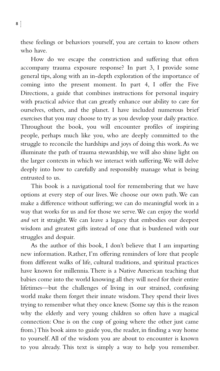these feelings or behaviors yourself, you are certain to know others who have.

How do we escape the constriction and suffering that often accompany trauma exposure response? In part 3, I provide some general tips, along with an in-depth exploration of the importance of coming into the present moment. In part 4, I offer the Five Directions, a guide that combines instructions for personal inquiry with practical advice that can greatly enhance our ability to care for ourselves, others, and the planet. I have included numerous brief exercises that you may choose to try as you develop your daily practice. Throughout the book, you will encounter profiles of inspiring people, perhaps much like you, who are deeply committed to the struggle to reconcile the hardships and joys of doing this work.As we illuminate the path of trauma stewardship, we will also shine light on the larger contexts in which we interact with suffering.We will delve deeply into how to carefully and responsibly manage what is being entrusted to us.

This book is a navigational tool for remembering that we have options at every step of our lives.We choose our own path.We can make a difference without suffering; we can do meaningful work in a way that works for us and for those we serve.We can enjoy the world *and* set it straight. We can leave a legacy that embodies our deepest wisdom and greatest gifts instead of one that is burdened with our struggles and despair.

As the author of this book, I don't believe that I am imparting new information. Rather, I'm offering reminders of lore that people from different walks of life, cultural traditions, and spiritual practices have known for millennia.There is a Native American teaching that babies come into the world knowing all they will need for their entire lifetimes—but the challenges of living in our strained, confusing world make them forget their innate wisdom.They spend their lives trying to remember what they once knew. (Some say this is the reason why the elderly and very young children so often have a magical connection: One is on the cusp of going where the other just came from.)This book aims to guide you, the reader, in finding a way home to yourself. All of the wisdom you are about to encounter is known to you already. This text is simply a way to help you remember.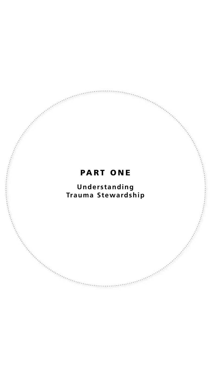<span id="page-16-0"></span>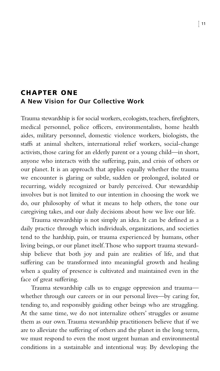## <span id="page-17-0"></span>**CHAPTER ONE [A New Vision for Our Collective Work](#page-4-0)**

Trauma stewardship is for social workers, ecologists, teachers, firefighters, medical personnel, police officers, environmentalists, home health aides, military personnel, domestic violence workers, biologists, the staffs at animal shelters, international relief workers, social-change activists, those caring for an elderly parent or a young child—in short, anyone who interacts with the suffering, pain, and crisis of others or our planet. It is an approach that applies equally whether the trauma we encounter is glaring or subtle, sudden or prolonged, isolated or recurring, widely recognized or barely perceived. Our stewardship involves but is not limited to our intention in choosing the work we do, our philosophy of what it means to help others, the tone our caregiving takes, and our daily decisions about how we live our life.

Trauma stewardship is not simply an idea. It can be defined as a daily practice through which individuals, organizations, and societies tend to the hardship, pain, or trauma experienced by humans, other living beings, or our planet itself.Those who support trauma stewardship believe that both joy and pain are realities of life, and that suffering can be transformed into meaningful growth and healing when a quality of presence is cultivated and maintained even in the face of great suffering.

Trauma stewardship calls us to engage oppression and trauma whether through our careers or in our personal lives—by caring for, tending to, and responsibly guiding other beings who are struggling. At the same time, we do not internalize others' struggles or assume them as our own.Trauma stewardship practitioners believe that if we are to alleviate the suffering of others and the planet in the long term, we must respond to even the most urgent human and environmental conditions in a sustainable and intentional way. By developing the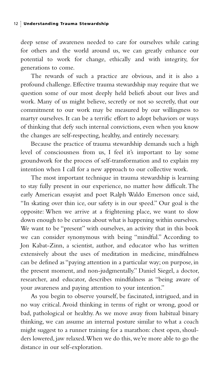#### 12 **Understanding Trauma Stewardship**

deep sense of awareness needed to care for ourselves while caring for others and the world around us, we can greatly enhance our potential to work for change, ethically and with integrity, for generations to come.

The rewards of such a practice are obvious, and it is also a profound challenge. Effective trauma stewardship may require that we question some of our most deeply held beliefs about our lives and work. Many of us might believe, secretly or not so secretly, that our commitment to our work may be measured by our willingness to martyr ourselves. It can be a terrific effort to adopt behaviors or ways of thinking that defy such internal convictions, even when you know the changes are self-respecting, healthy, and entirely necessary.

Because the practice of trauma stewardship demands such a high level of consciousness from us, I feel it's important to lay some groundwork for the process of self-transformation and to explain my intention when I call for a new approach to our collective work.

The most important technique in trauma stewardship is learning to stay fully present in our experience, no matter how difficult.The early American essayist and poet Ralph Waldo Emerson once said, "In skating over thin ice, our safety is in our speed." Our goal is the opposite: When we arrive at a frightening place, we want to slow down enough to be curious about what is happening within ourselves. We want to be "present" with ourselves, an activity that in this book we can consider synonymous with being "mindful." According to Jon Kabat-Zinn, a scientist, author, and educator who has written extensively about the uses of meditation in medicine, mindfulness can be defined as "paying attention in a particular way; on purpose, in the present moment, and non-judgmentally." Daniel Siegel, a doctor, researcher, and educator, describes mindfulness as "being aware of your awareness and paying attention to your intention."

As you begin to observe yourself, be fascinated, intrigued, and in no way critical. Avoid thinking in terms of right or wrong, good or bad, pathological or healthy. As we move away from habitual binary thinking, we can assume an internal posture similar to what a coach might suggest to a runner training for a marathon: chest open, shoulders lowered, jaw relaxed.When we do this, we're more able to go the distance in our self-exploration.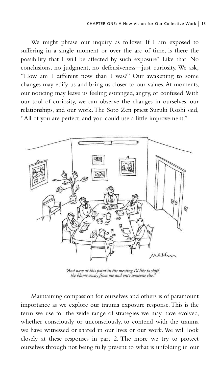We might phrase our inquiry as follows: If I am exposed to suffering in a single moment or over the arc of time, is there the possibility that I will be affected by such exposure? Like that. No conclusions, no judgment, no defensiveness—just curiosity. We ask, "How am I different now than I was?" Our awakening to some changes may edify us and bring us closer to our values. At moments, our noticing may leave us feeling estranged, angry, or confused.With our tool of curiosity, we can observe the changes in ourselves, our relationships, and our work.The Soto Zen priest Suzuki Roshi said, "All of you are perfect, and you could use a little improvement."



"And now at this point in the meeting I'd like to shift the blame away from me and onto someone else.

Maintaining compassion for ourselves and others is of paramount importance as we explore our trauma exposure response.This is the term we use for the wide range of strategies we may have evolved, whether consciously or unconsciously, to contend with the trauma we have witnessed or shared in our lives or our work.We will look closely at these responses in part 2. The more we try to protect ourselves through not being fully present to what is unfolding in our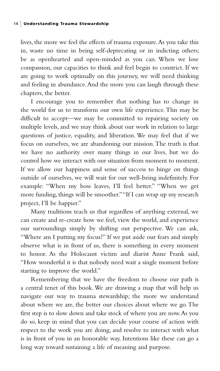#### 14 **Understanding Trauma Stewardship**

lives, the more we feel the effects of trauma exposure.As you take this in, waste no time in being self-deprecating or in indicting others; be as openhearted and open-minded as you can. When we lose compassion, our capacities to think and feel begin to constrict. If we are going to work optimally on this journey, we will need thinking and feeling in abundance.And the more you can laugh through these chapters, the better.

I encourage you to remember that nothing has to change in the world for us to transform our own life experience.This may be difficult to accept—we may be committed to repairing society on multiple levels, and we may think about our work in relation to large questions of justice, equality, and liberation. We may feel that if we focus on ourselves, we are abandoning our mission.The truth is that we have no authority over many things in our lives, but we do control how we interact with our situation from moment to moment. If we allow our happiness and sense of success to hinge on things outside of ourselves, we will wait for our well-being indefinitely. For example: "When my boss leaves, I'll feel better." "When we get more funding, things will be smoother.""If I can wrap up my research project, I'll be happier."

Many traditions teach us that regardless of anything external, we can create and re-create how we feel, view the world, and experience our surroundings simply by shifting our perspective. We can ask, "Where am I putting my focus?" If we put aside our fears and simply observe what is in front of us, there is something in every moment to honor. As the Holocaust victim and diarist Anne Frank said, "How wonderful it is that nobody need wait a single moment before starting to improve the world."

Remembering that we have the freedom to choose our path is a central tenet of this book.We are drawing a map that will help us navigate our way to trauma stewardship; the more we understand about where we are, the better our choices about where we go.The first step is to slow down and take stock of where you are now.As you do so, keep in mind that you can decide your course of action with respect to the work you are doing, and resolve to interact with what is in front of you in an honorable way. Intentions like these can go a long way toward sustaining a life of meaning and purpose.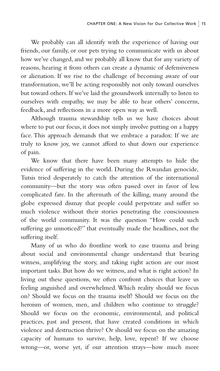We probably can all identify with the experience of having our friends, our family, or our pets trying to communicate with us about how we've changed, and we probably all know that for any variety of reasons, hearing it from others can create a dynamic of defensiveness or alienation. If we rise to the challenge of becoming aware of our transformation, we'll be acting responsibly not only toward ourselves but toward others. If we've laid the groundwork internally to listen to ourselves with empathy, we may be able to hear others' concerns, feedback, and reflections in a more open way as well.

Although trauma stewardship tells us we have choices about where to put our focus, it does not simply involve putting on a happy face. This approach demands that we embrace a paradox: If we are truly to know joy, we cannot afford to shut down our experience of pain.

We know that there have been many attempts to hide the evidence of suffering in the world. During the Rwandan genocide, Tutsis tried desperately to catch the attention of the international community—but the story was often passed over in favor of less complicated fare. In the aftermath of the killing, many around the globe expressed dismay that people could perpetrate and suffer so much violence without their stories penetrating the consciousness of the world community. It was the question "How could such suffering go unnoticed?" that eventually made the headlines, not the suffering itself.

Many of us who do frontline work to ease trauma and bring about social and environmental change understand that bearing witness, amplifying the story, and taking right action are our most important tasks. But how do we witness, and what is right action? In living out these questions, we often confront choices that leave us feeling anguished and overwhelmed. Which reality should we focus on? Should we focus on the trauma itself? Should we focus on the heroism of women, men, and children who continue to struggle? Should we focus on the economic, environmental, and political practices, past and present, that have created conditions in which violence and destruction thrive? Or should we focus on the amazing capacity of humans to survive, help, love, repent? If we choose wrong—or, worse yet, if our attention strays—how much more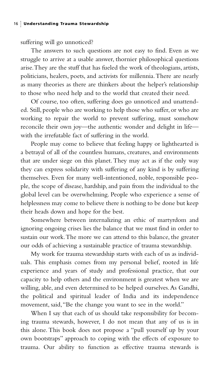suffering will go unnoticed?

The answers to such questions are not easy to find. Even as we struggle to arrive at a usable answer, thornier philosophical questions arise.They are the stuff that has fueled the work of theologians, artists, politicians, healers, poets, and activists for millennia.There are nearly as many theories as there are thinkers about the helper's relationship to those who need help and to the world that created their need.

Of course, too often, suffering does go unnoticed and unattended. Still, people who are working to help those who suffer, or who are working to repair the world to prevent suffering, must somehow reconcile their own joy—the authentic wonder and delight in life with the irrefutable fact of suffering in the world.

People may come to believe that feeling happy or lighthearted is a betrayal of all of the countless humans, creatures, and environments that are under siege on this planet.They may act as if the only way they can express solidarity with suffering of any kind is by suffering themselves. Even for many well-intentioned, noble, responsible people, the scope of disease, hardship, and pain from the individual to the global level can be overwhelming. People who experience a sense of helplessness may come to believe there is nothing to be done but keep their heads down and hope for the best.

Somewhere between internalizing an ethic of martyrdom and ignoring ongoing crises lies the balance that we must find in order to sustain our work.The more we can attend to this balance, the greater our odds of achieving a sustainable practice of trauma stewardship.

My work for trauma stewardship starts with each of us as individuals. This emphasis comes from my personal belief, rooted in life experience and years of study and professional practice, that our capacity to help others and the environment is greatest when we are willing, able, and even determined to be helped ourselves.As Gandhi, the political and spiritual leader of India and its independence movement, said,"Be the change you want to see in the world."

When I say that each of us should take responsibility for becoming trauma stewards, however, I do not mean that any of us is in this alone. This book does not propose a "pull yourself up by your own bootstraps" approach to coping with the effects of exposure to trauma. Our ability to function as effective trauma stewards is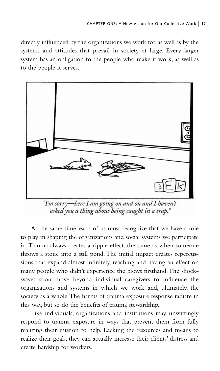directly influenced by the organizations we work for, as well as by the systems and attitudes that prevail in society at large. Every larger system has an obligation to the people who make it work, as well as to the people it serves.



"I'm sorry-here I am going on and on and I haven't asked you a thing about being caught in a trap."

At the same time, each of us must recognize that we have a role to play in shaping the organizations and social systems we participate in.Trauma always creates a ripple effect, the same as when someone throws a stone into a still pond. The initial impact creates repercussions that expand almost infinitely, reaching and having an effect on many people who didn't experience the blows firsthand.The shockwaves soon move beyond individual caregivers to influence the organizations and systems in which we work and, ultimately, the society as a whole.The harms of trauma exposure response radiate in this way, but so do the benefits of trauma stewardship.

Like individuals, organizations and institutions may unwittingly respond to trauma exposure in ways that prevent them from fully realizing their mission to help. Lacking the resources and means to realize their goals, they can actually increase their clients' distress and create hardship for workers.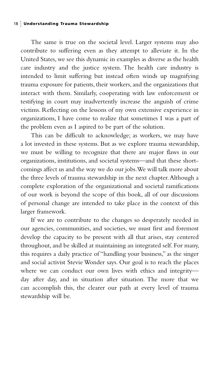#### 18 **Understanding Trauma Stewardship**

The same is true on the societal level. Larger systems may also contribute to suffering even as they attempt to alleviate it. In the United States, we see this dynamic in examples as diverse as the health care industry and the justice system. The health care industry is intended to limit suffering but instead often winds up magnifying trauma exposure for patients, their workers, and the organizations that interact with them. Similarly, cooperating with law enforcement or testifying in court may inadvertently increase the anguish of crime victims. Reflecting on the lessons of my own extensive experience in organizations, I have come to realize that sometimes I was a part of the problem even as I aspired to be part of the solution.

This can be difficult to acknowledge; as workers, we may have a lot invested in these systems. But as we explore trauma stewardship, we must be willing to recognize that there are major flaws in our organizations, institutions, and societal systems—and that these shortcomings affect us and the way we do our jobs.We will talk more about the three levels of trauma stewardship in the next chapter.Although a complete exploration of the organizational and societal ramifications of our work is beyond the scope of this book, all of our discussions of personal change are intended to take place in the context of this larger framework.

If we are to contribute to the changes so desperately needed in our agencies, communities, and societies, we must first and foremost develop the capacity to be present with all that arises, stay centered throughout, and be skilled at maintaining an integrated self. For many, this requires a daily practice of "handling your business," as the singer and social activist Stevie Wonder says. Our goal is to reach the places where we can conduct our own lives with ethics and integrity day after day, and in situation after situation. The more that we can accomplish this, the clearer our path at every level of trauma stewardship will be.